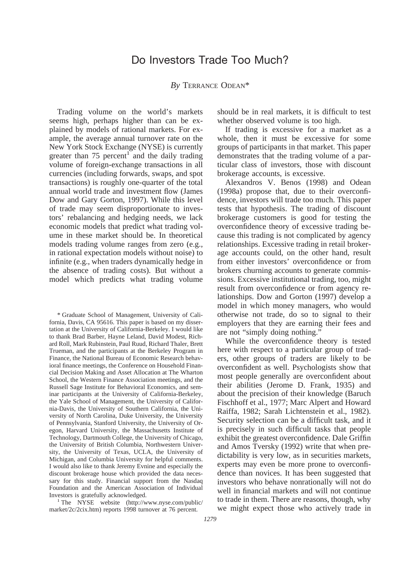# Do Investors Trade Too Much?

# *By* TERRANCE ODEAN\*

Trading volume on the world's markets seems high, perhaps higher than can be explained by models of rational markets. For example, the average annual turnover rate on the New York Stock Exchange (NYSE) is currently greater than  $75$  percent<sup>1</sup> and the daily trading volume of foreign-exchange transactions in all currencies (including forwards, swaps, and spot transactions) is roughly one-quarter of the total annual world trade and investment flow (James Dow and Gary Gorton, 1997). While this level of trade may seem disproportionate to investors' rebalancing and hedging needs, we lack economic models that predict what trading volume in these market should be. In theoretical models trading volume ranges from zero (e.g., in rational expectation models without noise) to infinite (e.g., when traders dynamically hedge in the absence of trading costs). But without a model which predicts what trading volume

\* Graduate School of Management, University of California, Davis, CA 95616. This paper is based on my dissertation at the University of California-Berkeley. I would like to thank Brad Barber, Hayne Leland, David Modest, Richard Roll, Mark Rubinstein, Paul Ruud, Richard Thaler, Brett Trueman, and the participants at the Berkeley Program in Finance, the National Bureau of Economic Research behavioral finance meetings, the Conference on Household Financial Decision Making and Asset Allocation at The Wharton School, the Western Finance Association meetings, and the Russell Sage Institute for Behavioral Economics, and seminar participants at the University of California-Berkeley, the Yale School of Management, the University of California-Davis, the University of Southern California, the University of North Carolina, Duke University, the University of Pennsylvania, Stanford University, the University of Oregon, Harvard University, the Massachusetts Institute of Technology, Dartmouth College, the University of Chicago, the University of British Columbia, Northwestern University, the University of Texas, UCLA, the University of Michigan, and Columbia University for helpful comments. I would also like to thank Jeremy Evnine and especially the discount brokerage house which provided the data necessary for this study. Financial support from the Nasdaq Foundation and the American Association of Individual

 $\textsuperscript{1}$  The NYSE website (http://www.nyse.com/public/ market/2c/2cix.htm) reports 1998 turnover at 76 percent.

should be in real markets, it is difficult to test whether observed volume is too high.

If trading is excessive for a market as a whole, then it must be excessive for some groups of participants in that market. This paper demonstrates that the trading volume of a particular class of investors, those with discount brokerage accounts, is excessive.

Alexandros V. Benos (1998) and Odean (1998a) propose that, due to their overconfidence, investors will trade too much. This paper tests that hypothesis. The trading of discount brokerage customers is good for testing the overconfidence theory of excessive trading because this trading is not complicated by agency relationships. Excessive trading in retail brokerage accounts could, on the other hand, result from either investors' overconfidence or from brokers churning accounts to generate commissions. Excessive institutional trading, too, might result from overconfidence or from agency relationships. Dow and Gorton (1997) develop a model in which money managers, who would otherwise not trade, do so to signal to their employers that they are earning their fees and are not "simply doing nothing."

While the overconfidence theory is tested here with respect to a particular group of traders, other groups of traders are likely to be overconfident as well. Psychologists show that most people generally are overconfident about their abilities (Jerome D. Frank, 1935) and about the precision of their knowledge (Baruch Fischhoff et al., 1977; Marc Alpert and Howard Raiffa, 1982; Sarah Lichtenstein et al., 1982). Security selection can be a difficult task, and it is precisely in such difficult tasks that people exhibit the greatest overconfidence. Dale Griffin and Amos Tversky (1992) write that when predictability is very low, as in securities markets, experts may even be more prone to overconfidence than novices. It has been suggested that investors who behave nonrationally will not do well in financial markets and will not continue to trade in them. There are reasons, though, why we might expect those who actively trade in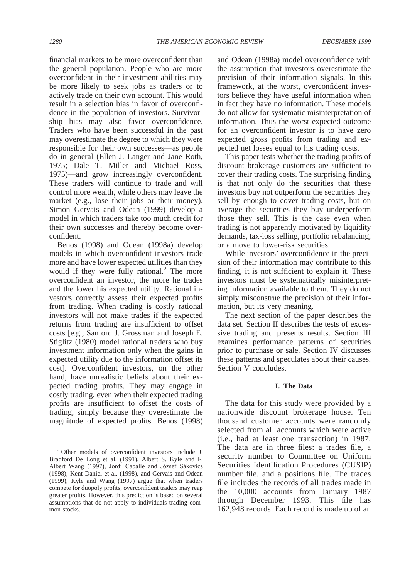financial markets to be more overconfident than the general population. People who are more overconfident in their investment abilities may be more likely to seek jobs as traders or to actively trade on their own account. This would result in a selection bias in favor of overconfidence in the population of investors. Survivorship bias may also favor overconfidence. Traders who have been successful in the past may overestimate the degree to which they were responsible for their own successes—as people do in general (Ellen J. Langer and Jane Roth, 1975; Dale T. Miller and Michael Ross, 1975)—and grow increasingly overconfident. These traders will continue to trade and will control more wealth, while others may leave the market (e.g., lose their jobs or their money). Simon Gervais and Odean (1999) develop a model in which traders take too much credit for their own successes and thereby become overconfident.

Benos (1998) and Odean (1998a) develop models in which overconfident investors trade more and have lower expected utilities than they would if they were fully rational.<sup>2</sup> The more overconfident an investor, the more he trades and the lower his expected utility. Rational investors correctly assess their expected profits from trading. When trading is costly rational investors will not make trades if the expected returns from trading are insufficient to offset costs [e.g., Sanford J. Grossman and Joseph E. Stiglitz (1980) model rational traders who buy investment information only when the gains in expected utility due to the information offset its cost]. Overconfident investors, on the other hand, have unrealistic beliefs about their expected trading profits. They may engage in costly trading, even when their expected trading profits are insufficient to offset the costs of trading, simply because they overestimate the magnitude of expected profits. Benos (1998)

and Odean (1998a) model overconfidence with the assumption that investors overestimate the precision of their information signals. In this framework, at the worst, overconfident investors believe they have useful information when in fact they have no information. These models do not allow for systematic misinterpretation of information. Thus the worst expected outcome for an overconfident investor is to have zero expected gross profits from trading and expected net losses equal to his trading costs.

This paper tests whether the trading profits of discount brokerage customers are sufficient to cover their trading costs. The surprising finding is that not only do the securities that these investors buy not outperform the securities they sell by enough to cover trading costs, but on average the securities they buy underperform those they sell. This is the case even when trading is not apparently motivated by liquidity demands, tax-loss selling, portfolio rebalancing, or a move to lower-risk securities.

While investors' overconfidence in the precision of their information may contribute to this finding, it is not sufficient to explain it. These investors must be systematically misinterpreting information available to them. They do not simply misconstrue the precision of their information, but its very meaning.

The next section of the paper describes the data set. Section II describes the tests of excessive trading and presents results. Section III examines performance patterns of securities prior to purchase or sale. Section IV discusses these patterns and speculates about their causes. Section V concludes.

# **I. The Data**

The data for this study were provided by a nationwide discount brokerage house. Ten thousand customer accounts were randomly selected from all accounts which were active (i.e., had at least one transaction) in 1987. The data are in three files: a trades file, a security number to Committee on Uniform Securities Identification Procedures (CUSIP) number file, and a positions file. The trades file includes the records of all trades made in the 10,000 accounts from January 1987 through December 1993. This file has 162,948 records. Each record is made up of an

<sup>&</sup>lt;sup>2</sup> Other models of overconfident investors include J. Bradford De Long et al. (1991), Albert S. Kyle and F. Albert Wang (1997), Jordi Caballé and József Sákovics (1998), Kent Daniel et al. (1998), and Gervais and Odean (1999), Kyle and Wang (1997) argue that when traders compete for duopoly profits, overconfident traders may reap greater profits. However, this prediction is based on several assumptions that do not apply to individuals trading common stocks.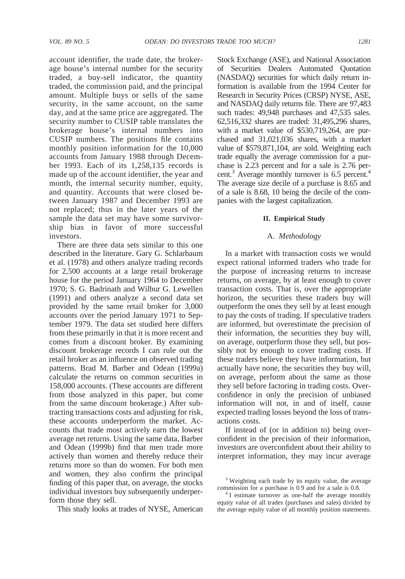account identifier, the trade date, the brokerage house's internal number for the security traded, a buy-sell indicator, the quantity traded, the commission paid, and the principal amount. Multiple buys or sells of the same security, in the same account, on the same day, and at the same price are aggregated. The security number to CUSIP table translates the brokerage house's internal numbers into CUSIP numbers. The positions file contains monthly position information for the 10,000 accounts from January 1988 through December 1993. Each of its 1,258,135 records is made up of the account identifier, the year and month, the internal security number, equity, and quantity. Accounts that were closed between January 1987 and December 1993 are not replaced; thus in the later years of the sample the data set may have some survivorship bias in favor of more successful investors.

There are three data sets similar to this one described in the literature. Gary G. Schlarbaum et al. (1978) and others analyze trading records for 2,500 accounts at a large retail brokerage house for the period January 1964 to December 1970; S. G. Badrinath and Wilbur G. Lewellen (1991) and others analyze a second data set provided by the same retail broker for 3,000 accounts over the period January 1971 to September 1979. The data set studied here differs from these primarily in that it is more recent and comes from a discount broker. By examining discount brokerage records I can rule out the retail broker as an influence on observed trading patterns. Brad M. Barber and Odean (1999a) calculate the returns on common securities in 158,000 accounts. (These accounts are different from those analyzed in this paper, but come from the same discount brokerage.) After subtracting transactions costs and adjusting for risk, these accounts underperform the market. Accounts that trade most actively earn the lowest average net returns. Using the same data, Barber and Odean (1999b) find that men trade more actively than women and thereby reduce their returns more so than do women. For both men and women, they also confirm the principal finding of this paper that, on average, the stocks individual investors buy subsequently underperform those they sell.

This study looks at trades of NYSE, American

Stock Exchange (ASE), and National Association of Securities Dealers Automated Quotation (NASDAQ) securities for which daily return information is available from the 1994 Center for Research in Security Prices (CRSP) NYSE, ASE, and NASDAQ daily returns file. There are 97,483 such trades: 49,948 purchases and 47,535 sales. 62,516,332 shares are traded: 31,495,296 shares, with a market value of \$530,719,264, are purchased and 31,021,036 shares, with a market value of \$579,871,104, are sold. Weighting each trade equally the average commission for a purchase is 2.23 percent and for a sale is 2.76 percent.<sup>3</sup> Average monthly turnover is 6.5 percent.<sup>4</sup> The average size decile of a purchase is 8.65 and of a sale is 8.68, 10 being the decile of the companies with the largest capitalization.

#### **II. Empirical Study**

#### A. *Methodology*

In a market with transaction costs we would expect rational informed traders who trade for the purpose of increasing returns to increase returns, on average, by at least enough to cover transaction costs. That is, over the appropriate horizon, the securities these traders buy will outperform the ones they sell by at least enough to pay the costs of trading. If speculative traders are informed, but overestimate the precision of their information, the securities they buy will, on average, outperform those they sell, but possibly not by enough to cover trading costs. If these traders believe they have information, but actually have none, the securities they buy will, on average, perform about the same as those they sell before factoring in trading costs. Overconfidence in only the precision of unbiased information will not, in and of itself, cause expected trading losses beyond the loss of transactions costs.

If instead of (or in addition to) being overconfident in the precision of their information, investors are overconfident about their ability to interpret information, they may incur average

<sup>3</sup> Weighting each trade by its equity value, the average

commission for a purchase is 0.9 and for a sale is 0.8. <sup>4</sup> I estimate turnover as one-half the average monthly equity value of all trades (purchases and sales) divided by the average equity value of all monthly position statements.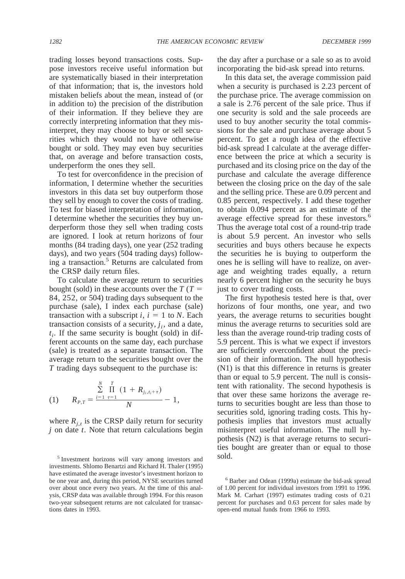trading losses beyond transactions costs. Suppose investors receive useful information but are systematically biased in their interpretation of that information; that is, the investors hold mistaken beliefs about the mean, instead of (or in addition to) the precision of the distribution of their information. If they believe they are correctly interpreting information that they misinterpret, they may choose to buy or sell securities which they would not have otherwise bought or sold. They may even buy securities that, on average and before transaction costs, underperform the ones they sell.

To test for overconfidence in the precision of information, I determine whether the securities investors in this data set buy outperform those they sell by enough to cover the costs of trading. To test for biased interpretation of information, I determine whether the securities they buy underperform those they sell when trading costs are ignored. I look at return horizons of four months (84 trading days), one year (252 trading days), and two years (504 trading days) following a transaction.<sup>5</sup> Returns are calculated from the CRSP daily return files.

To calculate the average return to securities bought (sold) in these accounts over the  $T(T =$ 84, 252, or 504) trading days subsequent to the purchase (sale), I index each purchase (sale) transaction with a subscript  $i, i = 1$  to *N*. Each transaction consists of a security,  $j_i$ , and a date,  $t_i$ . If the same security is bought (sold) in different accounts on the same day, each purchase (sale) is treated as a separate transaction. The average return to the securities bought over the *T* trading days subsequent to the purchase is:

(1) 
$$
R_{P,T} = \frac{\sum_{i=1}^{N} \prod_{\tau=1}^{T} (1 + R_{j_i, t_i + \tau})}{N} - 1,
$$

where  $R_{i,t}$  is the CRSP daily return for security *j* on date *t*. Note that return calculations begin the day after a purchase or a sale so as to avoid incorporating the bid-ask spread into returns.

In this data set, the average commission paid when a security is purchased is 2.23 percent of the purchase price. The average commission on a sale is 2.76 percent of the sale price. Thus if one security is sold and the sale proceeds are used to buy another security the total commissions for the sale and purchase average about 5 percent. To get a rough idea of the effective bid-ask spread I calculate at the average difference between the price at which a security is purchased and its closing price on the day of the purchase and calculate the average difference between the closing price on the day of the sale and the selling price. These are 0.09 percent and 0.85 percent, respectively. I add these together to obtain 0.094 percent as an estimate of the average effective spread for these investors.<sup>6</sup> Thus the average total cost of a round-trip trade is about 5.9 percent. An investor who sells securities and buys others because he expects the securities he is buying to outperform the ones he is selling will have to realize, on average and weighting trades equally, a return nearly 6 percent higher on the security he buys just to cover trading costs.

The first hypothesis tested here is that, over horizons of four months, one year, and two years, the average returns to securities bought minus the average returns to securities sold are less than the average round-trip trading costs of 5.9 percent. This is what we expect if investors are sufficiently overconfident about the precision of their information. The null hypothesis (N1) is that this difference in returns is greater than or equal to 5.9 percent. The null is consistent with rationality. The second hypothesis is that over these same horizons the average returns to securities bought are less than those to securities sold, ignoring trading costs. This hypothesis implies that investors must actually misinterpret useful information. The null hypothesis (N2) is that average returns to securities bought are greater than or equal to those

<sup>&</sup>lt;sup>5</sup> Investment horizons will vary among investors and sold. investments. Shlomo Benartzi and Richard H. Thaler (1995) have estimated the average investor's investment horizon to be one year and, during this period, NYSE securities turned over about once every two years. At the time of this analysis, CRSP data was available through 1994. For this reason two-year subsequent returns are not calculated for transactions dates in 1993.

<sup>6</sup> Barber and Odean (1999a) estimate the bid-ask spread of 1.00 percent for individual investors from 1991 to 1996. Mark M. Carhart (1997) estimates trading costs of 0.21 percent for purchases and 0.63 percent for sales made by open-end mutual funds from 1966 to 1993.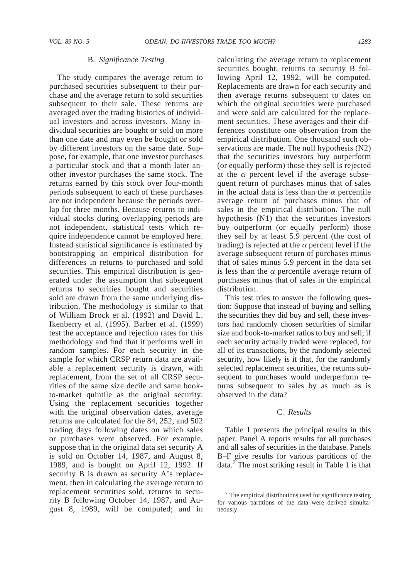### B. *Significance Testing*

The study compares the average return to purchased securities subsequent to their purchase and the average return to sold securities subsequent to their sale. These returns are averaged over the trading histories of individual investors and across investors. Many individual securities are bought or sold on more than one date and may even be bought or sold by different investors on the same date. Suppose, for example, that one investor purchases a particular stock and that a month later another investor purchases the same stock. The returns earned by this stock over four-month periods subsequent to each of these purchases are not independent because the periods overlap for three months. Because returns to individual stocks during overlapping periods are not independent, statistical tests which require independence cannot be employed here. Instead statistical significance is estimated by bootstrapping an empirical distribution for differences in returns to purchased and sold securities. This empirical distribution is generated under the assumption that subsequent returns to securities bought and securities sold are drawn from the same underlying distribution. The methodology is similar to that of William Brock et al. (1992) and David L. Ikenberry et al. (1995). Barber et al. (1999) test the acceptance and rejection rates for this methodology and find that it performs well in random samples. For each security in the sample for which CRSP return data are available a replacement security is drawn, with replacement, from the set of all CRSP securities of the same size decile and same bookto-market quintile as the original security. Using the replacement securities together with the original observation dates, average returns are calculated for the 84, 252, and 502 trading days following dates on which sales or purchases were observed. For example, suppose that in the original data set security A is sold on October 14, 1987, and August 8, 1989, and is bought on April 12, 1992. If security B is drawn as security A's replacement, then in calculating the average return to replacement securities sold, returns to security B following October 14, 1987, and August 8, 1989, will be computed; and in calculating the average return to replacement securities bought, returns to security B following April 12, 1992, will be computed. Replacements are drawn for each security and then average returns subsequent to dates on which the original securities were purchased and were sold are calculated for the replacement securities. These averages and their differences constitute one observation from the empirical distribution. One thousand such observations are made. The null hypothesis (N2) that the securities investors buy outperform (or equally perform) those they sell is rejected at the  $\alpha$  percent level if the average subsequent return of purchases minus that of sales in the actual data is less than the  $\alpha$  percentile average return of purchases minus that of sales in the empirical distribution. The null hypothesis (N1) that the securities investors buy outperform (or equally perform) those they sell by at least 5.9 percent (the cost of trading) is rejected at the  $\alpha$  percent level if the average subsequent return of purchases minus that of sales minus 5.9 percent in the data set is less than the  $\alpha$  percentile average return of purchases minus that of sales in the empirical distribution.

This test tries to answer the following question: Suppose that instead of buying and selling the securities they did buy and sell, these investors had randomly chosen securities of similar size and book-to-market ratios to buy and sell; if each security actually traded were replaced, for all of its transactions, by the randomly selected security, how likely is it that, for the randomly selected replacement securities, the returns subsequent to purchases would underperform returns subsequent to sales by as much as is observed in the data?

## C. *Results*

Table 1 presents the principal results in this paper. Panel A reports results for all purchases and all sales of securities in the database. Panels B–F give results for various partitions of the data.7 The most striking result in Table 1 is that

 $7$  The empirical distributions used for significance testing for various partitions of the data were derived simultaneously.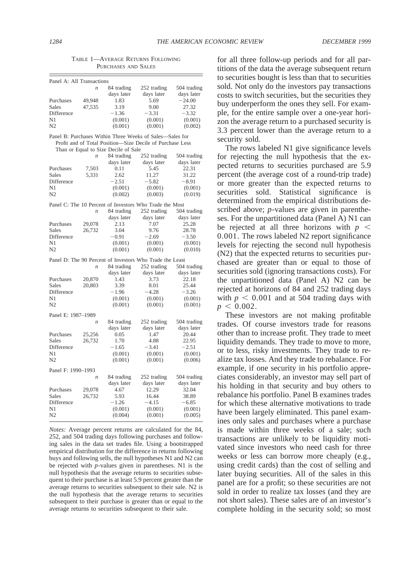TABLE 1—AVERAGE RETURNS FOLLOWING PURCHASES AND SALES

| Panel A: All Transactions |                  |            |             |             |
|---------------------------|------------------|------------|-------------|-------------|
|                           | $\boldsymbol{n}$ | 84 trading | 252 trading | 504 trading |
|                           |                  | days later | days later  | days later  |
| Purchases                 | 49,948           | 1.83       | 5.69        | $-24.00$    |
| Sales                     | 47.535           | 3.19       | 9.00        | 27.32       |
| Difference                |                  | $-1.36$    | $-3.31$     | $-3.32$     |
| N1                        |                  | (0.001)    | (0.001)     | (0.001)     |
| N <sub>2</sub>            |                  | (0.001)    | (0.001)     | (0.002)     |

Panel B: Purchases Within Three Weeks of Sales—Sales for Profit and of Total Position—Size Decile of Purchase Less Than or Equal to Size Decile of Sale

|                | Than of Equal to Size Decile of Sale |            |             |             |
|----------------|--------------------------------------|------------|-------------|-------------|
|                | n                                    | 84 trading | 252 trading | 504 trading |
|                |                                      | days later | days later  | days later  |
| Purchases      | 7.503                                | 0.11       | 5.45        | 22.31       |
| Sales          | 5.331                                | 2.62       | 11.27       | 31.22       |
| Difference     |                                      | $-2.51$    | $-5.82$     | $-8.91$     |
| N1             |                                      | (0.001)    | (0.001)     | (0.001)     |
| N <sub>2</sub> |                                      | (0.002)    | (0.003)     | (0.019)     |
|                |                                      |            |             |             |

|                |        |            | Panel C: The 10 Percent of Investors Who Trade the Most |             |
|----------------|--------|------------|---------------------------------------------------------|-------------|
|                | n      | 84 trading | 252 trading                                             | 504 trading |
|                |        | days later | days later                                              | days later  |
| Purchases      | 29,078 | 2.13       | 7.07                                                    | 25.28       |
| Sales          | 26,732 | 3.04       | 9.76                                                    | 28.78       |
| Difference     |        | $-0.91$    | $-2.69$                                                 | $-3.50$     |
| N1             |        | (0.001)    | (0.001)                                                 | (0.001)     |
| N <sub>2</sub> |        | (0.001)    | (0.001)                                                 | (0.010)     |

Panel D: The 90 Percent of Investors Who Trade the Least

| 252 trading<br>84 trading<br>$\boldsymbol{n}$<br>days later<br>days later<br>1.43<br>3.73<br>Purchases<br>20,870<br>20,803<br>8.01<br>Sales<br>3.39<br><b>Difference</b><br>$-1.96$<br>$-4.28$<br>(0.001)<br>N1<br>(0.001)<br>(0.001)<br>(0.001)<br>N <sub>2</sub> | 504 trading<br>days later<br>22.18<br>25.44<br>$-3.26$<br>(0.001)<br>(0.001) |  |  |  |  |
|--------------------------------------------------------------------------------------------------------------------------------------------------------------------------------------------------------------------------------------------------------------------|------------------------------------------------------------------------------|--|--|--|--|
| Panel E: 1987–1989                                                                                                                                                                                                                                                 |                                                                              |  |  |  |  |
| 84 trading<br>252 trading<br>$\boldsymbol{n}$<br>days later<br>days later                                                                                                                                                                                          | 504 trading<br>days later                                                    |  |  |  |  |
| 0.05<br>1.47<br>Purchases<br>25,256                                                                                                                                                                                                                                | 20.44                                                                        |  |  |  |  |
| 26,732<br>1.70<br>4.88<br>Sales                                                                                                                                                                                                                                    | 22.95                                                                        |  |  |  |  |
| Difference<br>$-3.41$<br>$-1.65$                                                                                                                                                                                                                                   | $-2.51$                                                                      |  |  |  |  |
| N1<br>(0.001)<br>(0.001)                                                                                                                                                                                                                                           | (0.001)                                                                      |  |  |  |  |
| (0.001)<br>N <sub>2</sub><br>(0.001)                                                                                                                                                                                                                               | (0.006)                                                                      |  |  |  |  |
| Panel F: 1990-1993                                                                                                                                                                                                                                                 |                                                                              |  |  |  |  |
| 84 trading<br>252 trading<br>$\boldsymbol{n}$<br>days later<br>days later                                                                                                                                                                                          | 504 trading<br>days later                                                    |  |  |  |  |
| 4.67<br>12.29<br>Purchases<br>29,078                                                                                                                                                                                                                               | 32.04                                                                        |  |  |  |  |
| 26,732<br>Sales<br>5.93<br>16.44                                                                                                                                                                                                                                   | 38.89                                                                        |  |  |  |  |
| Difference<br>$-1.26$<br>$-4.15$                                                                                                                                                                                                                                   | $-6.85$                                                                      |  |  |  |  |
| (0.001)<br>(0.001)<br>N1                                                                                                                                                                                                                                           | (0.001)                                                                      |  |  |  |  |
| (0.004)<br>N <sub>2</sub><br>(0.001)                                                                                                                                                                                                                               | (0.005)                                                                      |  |  |  |  |

*Notes:* Average percent returns are calculated for the 84, 252, and 504 trading days following purchases and following sales in the data set trades file. Using a bootstrapped empirical distribution for the difference in returns following buys and following sells, the null hypotheses N1 and N2 can be rejected with *p*-values given in parentheses. N1 is the null hypothesis that the average returns to securities subsequent to their purchase is at least 5.9 percent greater than the average returns to securities subsequent to their sale. N2 is the null hypothesis that the average returns to securities subsequent to their purchase is greater than or equal to the average returns to securities subsequent to their sale.

for all three follow-up periods and for all partitions of the data the average subsequent return to securities bought is less than that to securities sold. Not only do the investors pay transactions costs to switch securities, but the securities they buy underperform the ones they sell. For example, for the entire sample over a one-year horizon the average return to a purchased security is 3.3 percent lower than the average return to a security sold.

The rows labeled N1 give significance levels for rejecting the null hypothesis that the expected returns to securities purchased are 5.9 percent (the average cost of a round-trip trade) or more greater than the expected returns to securities sold. Statistical significance is determined from the empirical distributions described above; *p*-values are given in parentheses. For the unpartitioned data (Panel A) N1 can be rejected at all three horizons with  $p \leq$ 0.001. The rows labeled N2 report significance levels for rejecting the second null hypothesis (N2) that the expected returns to securities purchased are greater than or equal to those of securities sold (ignoring transactions costs). For the unpartitioned data (Panel A) N2 can be rejected at horizons of 84 and 252 trading days with  $p < 0.001$  and at 504 trading days with  $p < 0.002$ .

These investors are not making profitable trades. Of course investors trade for reasons other than to increase profit. They trade to meet liquidity demands. They trade to move to more, or to less, risky investments. They trade to realize tax losses. And they trade to rebalance. For example, if one security in his portfolio appreciates considerably, an investor may sell part of his holding in that security and buy others to rebalance his portfolio. Panel B examines trades for which these alternative motivations to trade have been largely eliminated. This panel examines only sales and purchases where a purchase is made within three weeks of a sale; such transactions are unlikely to be liquidity motivated since investors who need cash for three weeks or less can borrow more cheaply (e.g., using credit cards) than the cost of selling and later buying securities. All of the sales in this panel are for a profit; so these securities are not sold in order to realize tax losses (and they are not short sales). These sales are of an investor's complete holding in the security sold; so most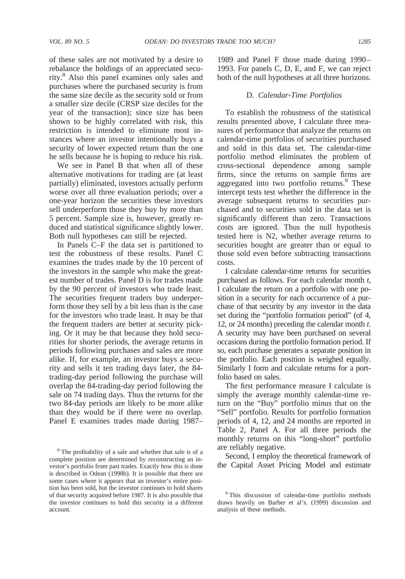of these sales are not motivated by a desire to rebalance the holdings of an appreciated security.8 Also this panel examines only sales and purchases where the purchased security is from the same size decile as the security sold or from a smaller size decile (CRSP size deciles for the year of the transaction); since size has been shown to be highly correlated with risk, this restriction is intended to eliminate most instances where an investor intentionally buys a security of lower expected return than the one he sells because he is hoping to reduce his risk.

We see in Panel B that when all of these alternative motivations for trading are (at least partially) eliminated, investors actually perform worse over all three evaluation periods; over a one-year horizon the securities these investors sell underperform those they buy by more than 5 percent. Sample size is, however, greatly reduced and statistical significance slightly lower. Both null hypotheses can still be rejected.

In Panels C–F the data set is partitioned to test the robustness of these results. Panel C examines the trades made by the 10 percent of the investors in the sample who make the greatest number of trades. Panel D is for trades made by the 90 percent of investors who trade least. The securities frequent traders buy underperform those they sell by a bit less than is the case for the investors who trade least. It may be that the frequent traders are better at security picking. Or it may be that because they hold securities for shorter periods, the average returns in periods following purchases and sales are more alike. If, for example, an investor buys a security and sells it ten trading days later, the 84 trading-day period following the purchase will overlap the 84-trading-day period following the sale on 74 trading days. Thus the returns for the two 84-day periods are likely to be more alike than they would be if there were no overlap. Panel E examines trades made during 1987–

1989 and Panel F those made during 1990– 1993. For panels C, D, E, and F, we can reject both of the null hypotheses at all three horizons.

## D. *Calendar-Time Portfolios*

To establish the robustness of the statistical results presented above, I calculate three measures of performance that analyze the returns on calendar-time portfolios of securities purchased and sold in this data set. The calendar-time portfolio method eliminates the problem of cross-sectional dependence among sample firms, since the returns on sample firms are aggregated into two portfolio returns.<sup>9</sup> These intercept tests test whether the difference in the average subsequent returns to securities purchased and to securities sold in the data set is significantly different than zero. Transactions costs are ignored. Thus the null hypothesis tested here is N2, whether average returns to securities bought are greater than or equal to those sold even before subtracting transactions costs.

I calculate calendar-time returns for securities purchased as follows. For each calendar month *t*, I calculate the return on a portfolio with one position in a security for each occurrence of a purchase of that security by any investor in the data set during the "portfolio formation period" (of 4, 12, or 24 months) preceding the calendar month *t*. A security may have been purchased on several occasions during the portfolio formation period. If so, each purchase generates a separate position in the portfolio. Each position is weighed equally. Similarly I form and calculate returns for a portfolio based on sales.

The first performance measure I calculate is simply the average monthly calendar-time return on the "Buy" portfolio minus that on the "Sell" portfolio. Results for portfolio formation periods of 4, 12, and 24 months are reported in Table 2, Panel A. For all three periods the monthly returns on this "long-short" portfolio are reliably negative.

Second, I employ the theoretical framework of the Capital Asset Pricing Model and estimate

<sup>&</sup>lt;sup>8</sup> The profitability of a sale and whether that sale is of a complete position are determined by reconstructing an investor's portfolio from past trades. Exactly how this is done is described in Odean (1998b). It is possible that there are some cases where it appears that an investor's entire position has been sold, but the investor continues to hold shares of that security acquired before 1987. It is also possible that the investor continues to hold this security in a different account.

<sup>&</sup>lt;sup>9</sup> This discussion of calendar-time portfolio methods draws heavily on Barber et al's. (1999) discussion and analysis of these methods.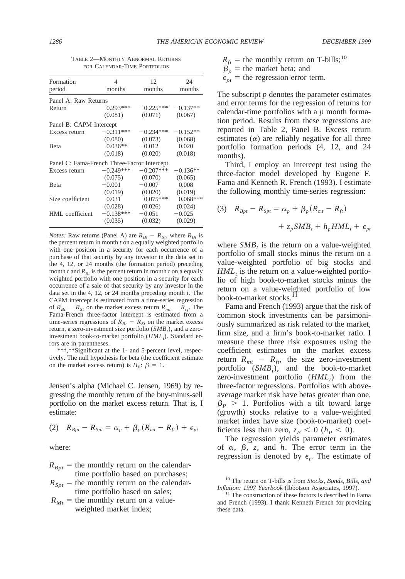| Formation<br>period                         | $\overline{4}$<br>months | 12<br>months | 24<br>months |  |  |
|---------------------------------------------|--------------------------|--------------|--------------|--|--|
| Panel A: Raw Returns                        |                          |              |              |  |  |
| Return                                      | $-0.293***$              | $-0.225***$  | $-0.137**$   |  |  |
|                                             | (0.081)                  | (0.071)      | (0.067)      |  |  |
|                                             | Panel B: CAPM Intercept  |              |              |  |  |
| Excess return                               | $-0.311***$              | $-0.234***$  | $-0.152**$   |  |  |
|                                             | (0.080)                  | (0.073)      | (0.068)      |  |  |
| <b>B</b> eta                                | $0.036**$                | $-0.012$     | 0.020        |  |  |
|                                             | (0.018)                  | (0.020)      | (0.018)      |  |  |
| Panel C: Fama-French Three-Factor Intercept |                          |              |              |  |  |
| Excess return                               | $-0.249***$              | $-0.207***$  | $-0.136**$   |  |  |
|                                             | (0.075)                  | (0.070)      | (0.065)      |  |  |
| <b>B</b> eta                                | $-0.001$                 | $-0.007$     | 0.008        |  |  |
|                                             | (0.019)                  | (0.020)      | (0.019)      |  |  |
| Size coefficient                            | 0.031                    | $0.075***$   | $0.068***$   |  |  |
|                                             | (0.028)                  | (0.026)      | (0.024)      |  |  |
| HML coefficient                             | $-0.138***$              | $-0.051$     | $-0.025$     |  |  |
|                                             | (0.035)                  | (0.032)      | (0.029)      |  |  |

TABLE 2—MONTHLY ABNORMAL RETURNS FOR CALENDAR-TIME PORTFOLIOS

*Notes:* Raw returns (Panel A) are  $R_{Bt} - R_{St}$ , where  $R_{Bt}$  is the percent return in month *t* on a equally weighted portfolio with one position in a security for each occurrence of a purchase of that security by any investor in the data set in the 4, 12, or 24 months (the formation period) preceding month *t* and  $R_{St}$  is the percent return in month *t* on a equally weighted portfolio with one position in a security for each occurrence of a sale of that security by any investor in the data set in the 4, 12, or 24 months preceding month *t*. The CAPM intercept is estimated from a time-series regression of  $R_{Bt} - R_{St}$  on the market excess return  $R_{mt} - R_{rf}$ . The Fama-French three-factor intercept is estimated from a time-series regressions of  $R_{Bt} - \hat{R}_{St}$  on the market excess return, a zero-investment size portfolio (*SMB<sub>t</sub>*), and a zeroinvestment book-to-market portfolio ( $HML<sub>t</sub>$ ). Standard errors are in parentheses.

\*\*\*,\*\*Significant at the 1- and 5-percent level, respectively. The null hypothesis for beta (the coefficient estimate on the market excess return) is  $H_0$ :  $\beta = 1$ .

Jensen's alpha (Michael C. Jensen, 1969) by regressing the monthly return of the buy-minus-sell portfolio on the market excess return. That is, I estimate:

$$
(2) \quad R_{Bpt} - R_{Spt} = \alpha_p + \beta_p (R_{mt} - R_{ft}) + \epsilon_{pt}
$$

where:

- $R_{Bnt}$  = the monthly return on the calendartime portfolio based on purchases;
- $R_{Spt}$  = the monthly return on the calendartime portfolio based on sales;
- $R_{Mt}$  = the monthly return on a valueweighted market index;
- $R_f$  = the monthly return on T-bills;<sup>10</sup>
- $\beta_p$  = the market beta; and
- $\epsilon_{nt}$  = the regression error term.

The subscript *p* denotes the parameter estimates and error terms for the regression of returns for calendar-time portfolios with a *p* month formation period. Results from these regressions are reported in Table 2, Panel B. Excess return estimates  $(\alpha)$  are reliably negative for all three portfolio formation periods (4, 12, and 24 months).

Third, I employ an intercept test using the three-factor model developed by Eugene F. Fama and Kenneth R. French (1993). I estimate the following monthly time-series regression:

(3) 
$$
R_{Bpt} - R_{Spt} = \alpha_p + \beta_p (R_{mt} - R_{ft})
$$

$$
+ z_p SMB_t + h_p HML_t + \epsilon_{pt}
$$

where  $SMB_t$  is the return on a value-weighted portfolio of small stocks minus the return on a value-weighted portfolio of big stocks and  $HML<sub>t</sub>$  is the return on a value-weighted portfolio of high book-to-market stocks minus the return on a value-weighted portfolio of low book-to-market stocks.<sup>11</sup>

Fama and French (1993) argue that the risk of common stock investments can be parsimoniously summarized as risk related to the market, firm size, and a firm's book-to-market ratio. I measure these three risk exposures using the coefficient estimates on the market excess return  $R_{mt}$  –  $R_{ft}$ , the size zero-investment portfolio  $(SMB_t)$ , and the book-to-market zero-investment portfolio  $(HML<sub>t</sub>)$  from the three-factor regressions. Portfolios with aboveaverage market risk have betas greater than one,  $\beta_P > 1$ . Portfolios with a tilt toward large (growth) stocks relative to a value-weighted market index have size (book-to-market) coefficients less than zero,  $z_P < 0$  ( $h_P < 0$ ).

The regression yields parameter estimates of  $\alpha$ ,  $\beta$ , *z*, and *h*. The error term in the regression is denoted by  $\epsilon_t$ . The estimate of

<sup>10</sup> The return on T-bills is from *Stocks, Bonds, Bills, and Inflation: 1997 Yearbook* (Ibbotson Associates, 1997).<br><sup>11</sup> The construction of these factors is described in Fama

and French (1993). I thank Kenneth French for providing these data.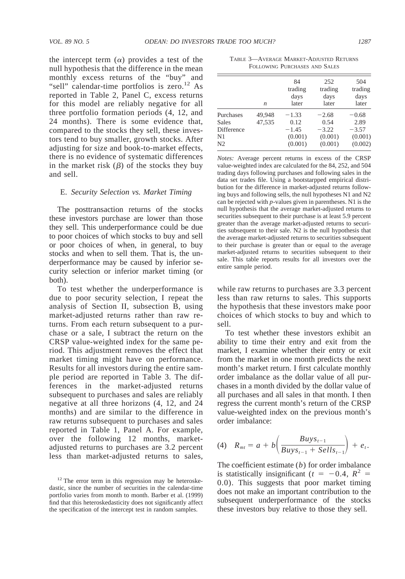the intercept term  $(\alpha)$  provides a test of the null hypothesis that the difference in the mean monthly excess returns of the "buy" and "sell" calendar-time portfolios is zero.<sup>12</sup> As reported in Table 2, Panel C, excess returns for this model are reliably negative for all three portfolio formation periods (4, 12, and 24 months). There is some evidence that, compared to the stocks they sell, these investors tend to buy smaller, growth stocks. After adjusting for size and book-to-market effects, there is no evidence of systematic differences in the market risk  $(\beta)$  of the stocks they buy and sell.

#### E. *Security Selection vs. Market Timing*

The posttransaction returns of the stocks these investors purchase are lower than those they sell. This underperformance could be due to poor choices of which stocks to buy and sell or poor choices of when, in general, to buy stocks and when to sell them. That is, the underperformance may be caused by inferior security selection or inferior market timing (or both).

To test whether the underperformance is due to poor security selection, I repeat the analysis of Section II, subsection B, using market-adjusted returns rather than raw returns. From each return subsequent to a purchase or a sale, I subtract the return on the CRSP value-weighted index for the same period. This adjustment removes the effect that market timing might have on performance. Results for all investors during the entire sample period are reported in Table 3. The differences in the market-adjusted returns subsequent to purchases and sales are reliably negative at all three horizons (4, 12, and 24 months) and are similar to the difference in raw returns subsequent to purchases and sales reported in Table 1, Panel A. For example, over the following 12 months, marketadjusted returns to purchases are 3.2 percent less than market-adjusted returns to sales,

TABLE 3—AVERAGE MARKET-ADJUSTED RETURNS FOLLOWING PURCHASES AND SALES

|                                                                             | n                | 84<br>trading<br>days<br>later                   | 252<br>trading<br>days<br>later                  | 504<br>trading<br>days<br>later                  |
|-----------------------------------------------------------------------------|------------------|--------------------------------------------------|--------------------------------------------------|--------------------------------------------------|
| Purchases<br><b>Sales</b><br>Difference<br>N <sub>1</sub><br>N <sub>2</sub> | 49.948<br>47,535 | $-1.33$<br>0.12<br>$-1.45$<br>(0.001)<br>(0.001) | $-2.68$<br>0.54<br>$-3.22$<br>(0.001)<br>(0.001) | $-0.68$<br>2.89<br>$-3.57$<br>(0.001)<br>(0.002) |

*Notes:* Average percent returns in excess of the CRSP value-weighted index are calculated for the 84, 252, and 504 trading days following purchases and following sales in the data set trades file. Using a bootstarpped empirical distribution for the difference in market-adjusted returns following buys and following sells, the null hypotheses N1 and N2 can be rejected with *p*-values given in parentheses. N1 is the null hypothesis that the average market-adjusted returns to securities subsequent to their purchase is at least 5.9 percent greater than the average market-adjusted returns to securities subsequent to their sale. N2 is the null hypothesis that the average market-adjusted returns to securities subsequent to their purchase is greater than or equal to the average market-adjusted returns to securities subsequent to their sale. This table reports results for all investors over the entire sample period.

while raw returns to purchases are 3.3 percent less than raw returns to sales. This supports the hypothesis that these investors make poor choices of which stocks to buy and which to sell.

To test whether these investors exhibit an ability to time their entry and exit from the market, I examine whether their entry or exit from the market in one month predicts the next month's market return. I first calculate monthly order imbalance as the dollar value of all purchases in a month divided by the dollar value of all purchases and all sales in that month. I then regress the current month's return of the CRSP value-weighted index on the previous month's order imbalance:

(4) 
$$
R_{mt} = a + b \left( \frac{B u y s_{t-1}}{B u y s_{t-1} + S e l l s_{t-1}} \right) + e_t.
$$

The coefficient estimate (*b*) for order imbalance is statistically insignificant ( $t = -0.4$ ,  $R^2 =$ 0.0). This suggests that poor market timing does not make an important contribution to the subsequent underperformance of the stocks these investors buy relative to those they sell.

 $12$  The error term in this regression may be heteroskedastic, since the number of securities in the calendar-time portfolio varies from month to month. Barber et al. (1999) find that this heteroskedasticity does not significantly affect the specification of the intercept test in random samples.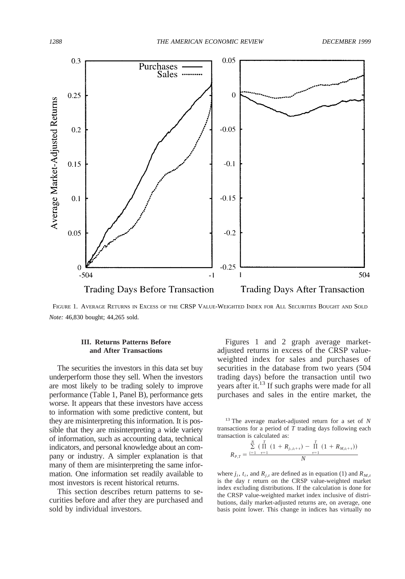

FIGURE 1. AVERAGE RETURNS IN EXCESS OF THE CRSP VALUE-WEIGHTED INDEX FOR ALL SECURITIES BOUGHT AND SOLD *Note:* 46,830 bought; 44,265 sold.

# **III. Returns Patterns Before and After Transactions**

The securities the investors in this data set buy underperform those they sell. When the investors are most likely to be trading solely to improve performance (Table 1, Panel B), performance gets worse. It appears that these investors have access to information with some predictive content, but they are misinterpreting this information. It is possible that they are misinterpreting a wide variety of information, such as accounting data, technical indicators, and personal knowledge about an company or industry. A simpler explanation is that many of them are misinterpreting the same information. One information set readily available to most investors is recent historical returns.

This section describes return patterns to securities before and after they are purchased and sold by individual investors.

Figures 1 and 2 graph average marketadjusted returns in excess of the CRSP valueweighted index for sales and purchases of securities in the database from two years (504 trading days) before the transaction until two years after it.<sup>13</sup> If such graphs were made for all purchases and sales in the entire market, the

<sup>13</sup> The average market-adjusted return for a set of *N* transactions for a period of *T* trading days following each transaction is calculated as:

$$
R_{P,T} = \frac{\sum_{i=1}^{N} \left( \prod_{\tau=1}^{T} (1 + R_{j_{i}, t_{i}+\tau}) - \prod_{\tau=1}^{T} (1 + R_{M,t_{i}+\tau}) \right)}{N}
$$

where  $j_i$ ,  $t_i$ , and  $R_{j,t}$  are defined as in equation (1) and  $R_{M,t}$ is the day *t* return on the CRSP value-weighted market index excluding distributions. If the calculation is done for the CRSP value-weighted market index inclusive of distributions, daily market-adjusted returns are, on average, one basis point lower. This change in indices has virtually no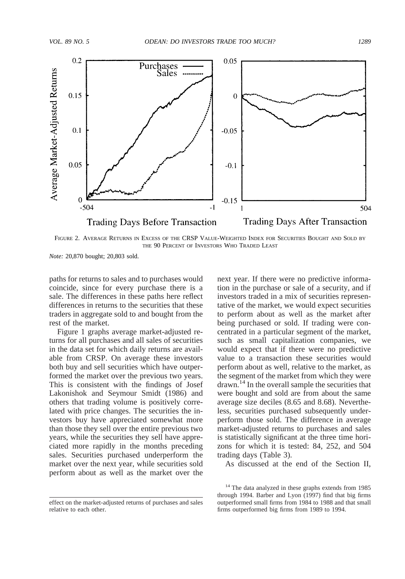

FIGURE 2. AVERAGE RETURNS IN EXCESS OF THE CRSP VALUE-WEIGHTED INDEX FOR SECURITIES BOUGHT AND SOLD BY THE 90 PERCENT OF INVESTORS WHO TRADED LEAST

*Note:* 20,870 bought; 20,803 sold.

paths for returns to sales and to purchases would coincide, since for every purchase there is a sale. The differences in these paths here reflect differences in returns to the securities that these traders in aggregate sold to and bought from the rest of the market.

Figure 1 graphs average market-adjusted returns for all purchases and all sales of securities in the data set for which daily returns are available from CRSP. On average these investors both buy and sell securities which have outperformed the market over the previous two years. This is consistent with the findings of Josef Lakonishok and Seymour Smidt (1986) and others that trading volume is positively correlated with price changes. The securities the investors buy have appreciated somewhat more than those they sell over the entire previous two years, while the securities they sell have appreciated more rapidly in the months preceding sales. Securities purchased underperform the market over the next year, while securities sold perform about as well as the market over the

next year. If there were no predictive information in the purchase or sale of a security, and if investors traded in a mix of securities representative of the market, we would expect securities to perform about as well as the market after being purchased or sold. If trading were concentrated in a particular segment of the market, such as small capitalization companies, we would expect that if there were no predictive value to a transaction these securities would perform about as well, relative to the market, as the segment of the market from which they were drawn.<sup>14</sup> In the overall sample the securities that were bought and sold are from about the same average size deciles (8.65 and 8.68). Nevertheless, securities purchased subsequently underperform those sold. The difference in average market-adjusted returns to purchases and sales is statistically significant at the three time horizons for which it is tested: 84, 252, and 504 trading days (Table 3).

As discussed at the end of the Section II,

effect on the market-adjusted returns of purchases and sales relative to each other.

<sup>&</sup>lt;sup>14</sup> The data analyzed in these graphs extends from 1985 through 1994. Barber and Lyon (1997) find that big firms outperformed small firms from 1984 to 1988 and that small firms outperformed big firms from 1989 to 1994.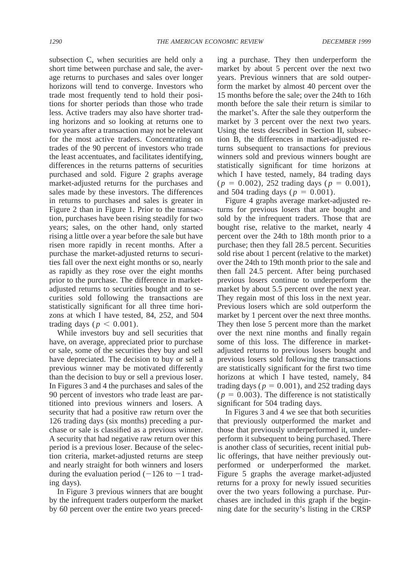subsection C, when securities are held only a short time between purchase and sale, the average returns to purchases and sales over longer horizons will tend to converge. Investors who trade most frequently tend to hold their positions for shorter periods than those who trade less. Active traders may also have shorter trading horizons and so looking at returns one to two years after a transaction may not be relevant for the most active traders. Concentrating on trades of the 90 percent of investors who trade the least accentuates, and facilitates identifying, differences in the returns patterns of securities purchased and sold. Figure 2 graphs average market-adjusted returns for the purchases and sales made by these investors. The differences in returns to purchases and sales is greater in Figure 2 than in Figure 1. Prior to the transaction, purchases have been rising steadily for two years; sales, on the other hand, only started rising a little over a year before the sale but have risen more rapidly in recent months. After a purchase the market-adjusted returns to securities fall over the next eight months or so, nearly as rapidly as they rose over the eight months prior to the purchase. The difference in marketadjusted returns to securities bought and to securities sold following the transactions are statistically significant for all three time horizons at which I have tested, 84, 252, and 504 trading days ( $p < 0.001$ ).

While investors buy and sell securities that have, on average, appreciated prior to purchase or sale, some of the securities they buy and sell have depreciated. The decision to buy or sell a previous winner may be motivated differently than the decision to buy or sell a previous loser. In Figures 3 and 4 the purchases and sales of the 90 percent of investors who trade least are partitioned into previous winners and losers. A security that had a positive raw return over the 126 trading days (six months) preceding a purchase or sale is classified as a previous winner. A security that had negative raw return over this period is a previous loser. Because of the selection criteria, market-adjusted returns are steep and nearly straight for both winners and losers during the evaluation period  $(-126 \text{ to } -1 \text{ trad}$ ing days).

In Figure 3 previous winners that are bought by the infrequent traders outperform the market by 60 percent over the entire two years preceding a purchase. They then underperform the market by about 5 percent over the next two years. Previous winners that are sold outperform the market by almost 40 percent over the 15 months before the sale; over the 24th to 16th month before the sale their return is similar to the market's. After the sale they outperform the market by 3 percent over the next two years. Using the tests described in Section II, subsection B, the differences in market-adjusted returns subsequent to transactions for previous winners sold and previous winners bought are statistically significant for time horizons at which I have tested, namely, 84 trading days  $(p = 0.002)$ , 252 trading days ( $p = 0.001$ ), and 504 trading days ( $p = 0.001$ ).

Figure 4 graphs average market-adjusted returns for previous losers that are bought and sold by the infrequent traders. Those that are bought rise, relative to the market, nearly 4 percent over the 24th to 18th month prior to a purchase; then they fall 28.5 percent. Securities sold rise about 1 percent (relative to the market) over the 24th to 19th month prior to the sale and then fall 24.5 percent. After being purchased previous losers continue to underperform the market by about 5.5 percent over the next year. They regain most of this loss in the next year. Previous losers which are sold outperform the market by 1 percent over the next three months. They then lose 5 percent more than the market over the next nine months and finally regain some of this loss. The difference in marketadjusted returns to previous losers bought and previous losers sold following the transactions are statistically significant for the first two time horizons at which I have tested, namely, 84 trading days ( $p = 0.001$ ), and 252 trading days  $(p = 0.003)$ . The difference is not statistically significant for 504 trading days.

In Figures 3 and 4 we see that both securities that previously outperformed the market and those that previously underperformed it, underperform it subsequent to being purchased. There is another class of securities, recent initial public offerings, that have neither previously outperformed or underperformed the market. Figure 5 graphs the average market-adjusted returns for a proxy for newly issued securities over the two years following a purchase. Purchases are included in this graph if the beginning date for the security's listing in the CRSP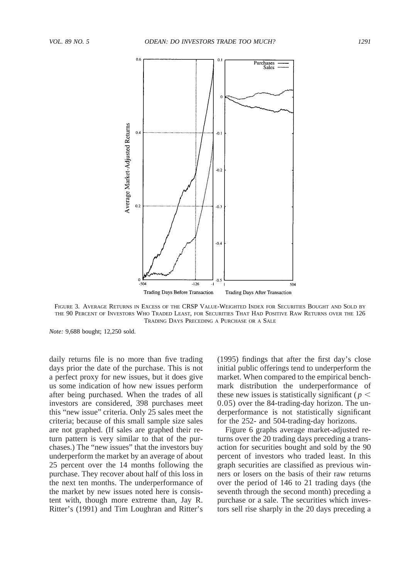

FIGURE 3. AVERAGE RETURNS IN EXCESS OF THE CRSP VALUE-WEIGHTED INDEX FOR SECURITIES BOUGHT AND SOLD BY THE 90 PERCENT OF INVESTORS WHO TRADED LEAST, FOR SECURITIES THAT HAD POSITIVE RAW RETURNS OVER THE 126 TRADING DAYS PRECEDING A PURCHASE OR A SALE

*Note:* 9,688 bought; 12,250 sold.

daily returns file is no more than five trading days prior the date of the purchase. This is not a perfect proxy for new issues, but it does give us some indication of how new issues perform after being purchased. When the trades of all investors are considered, 398 purchases meet this "new issue" criteria. Only 25 sales meet the criteria; because of this small sample size sales are not graphed. (If sales are graphed their return pattern is very similar to that of the purchases.) The "new issues" that the investors buy underperform the market by an average of about 25 percent over the 14 months following the purchase. They recover about half of this loss in the next ten months. The underperformance of the market by new issues noted here is consistent with, though more extreme than, Jay R. Ritter's (1991) and Tim Loughran and Ritter's

(1995) findings that after the first day's close initial public offerings tend to underperform the market. When compared to the empirical benchmark distribution the underperformance of these new issues is statistically significant ( $p <$ 0.05) over the 84-trading-day horizon. The underperformance is not statistically significant for the 252- and 504-trading-day horizons.

Figure 6 graphs average market-adjusted returns over the 20 trading days preceding a transaction for securities bought and sold by the 90 percent of investors who traded least. In this graph securities are classified as previous winners or losers on the basis of their raw returns over the period of 146 to 21 trading days (the seventh through the second month) preceding a purchase or a sale. The securities which investors sell rise sharply in the 20 days preceding a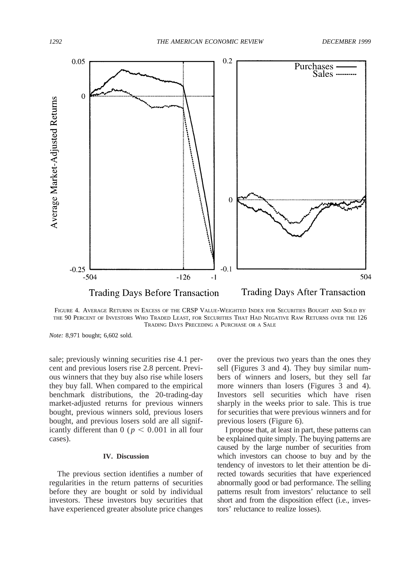

FIGURE 4. AVERAGE RETURNS IN EXCESS OF THE CRSP VALUE-WEIGHTED INDEX FOR SECURITIES BOUGHT AND SOLD BY THE 90 PERCENT OF INVESTORS WHO TRADED LEAST, FOR SECURITIES THAT HAD NEGATIVE RAW RETURNS OVER THE 126 TRADING DAYS PRECEDING A PURCHASE OR A SALE

*Note:* 8,971 bought; 6,602 sold.

sale; previously winning securities rise 4.1 percent and previous losers rise 2.8 percent. Previous winners that they buy also rise while losers they buy fall. When compared to the empirical benchmark distributions, the 20-trading-day market-adjusted returns for previous winners bought, previous winners sold, previous losers bought, and previous losers sold are all significantly different than  $0$  ( $p < 0.001$  in all four cases).

# **IV. Discussion**

The previous section identifies a number of regularities in the return patterns of securities before they are bought or sold by individual investors. These investors buy securities that have experienced greater absolute price changes over the previous two years than the ones they sell (Figures 3 and 4). They buy similar numbers of winners and losers, but they sell far more winners than losers (Figures 3 and 4). Investors sell securities which have risen sharply in the weeks prior to sale. This is true for securities that were previous winners and for previous losers (Figure 6).

I propose that, at least in part, these patterns can be explained quite simply. The buying patterns are caused by the large number of securities from which investors can choose to buy and by the tendency of investors to let their attention be directed towards securities that have experienced abnormally good or bad performance. The selling patterns result from investors' reluctance to sell short and from the disposition effect (i.e., investors' reluctance to realize losses).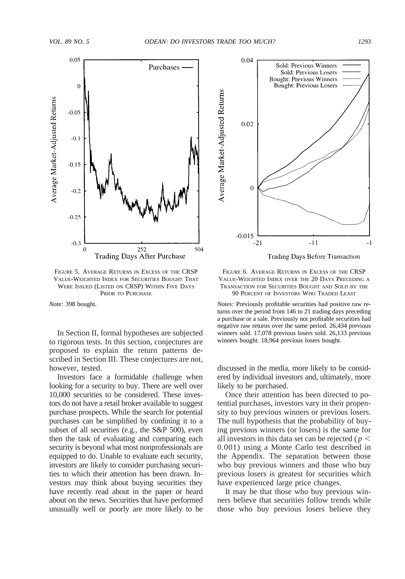

FIGURE 5. AVERAGE RETURNS IN EXCESS OF THE CRSP VALUE-WEIGHTED INDEX FOR SECURITIES BOUGHT THAT WERE ISSUED (LISTED ON CRSP) WITHIN FIVE DAYS PRIOR TO PURCHASE

*Note:* 398 bought.

In Section II, formal hypotheses are subjected to rigorous tests. In this section, conjectures are proposed to explain the return patterns described in Section III. These conjectures are not, however, tested.

Investors face a formidable challenge when looking for a security to buy. There are well over 10,000 securities to be considered. These investors do not have a retail broker available to suggest purchase prospects. While the search for potential purchases can be simplified by confining it to a subset of all securities (e.g., the S&P 500), even then the task of evaluating and comparing each security is beyond what most nonprofessionals are equipped to do. Unable to evaluate each security, investors are likely to consider purchasing securities to which their attention has been drawn. Investors may think about buying securities they have recently read about in the paper or heard about on the news. Securities that have performed unusually well or poorly are more likely to be



**Trading Days Before Transaction** 

FIGURE 6. AVERAGE RETURNS IN EXCESS OF THE CRSP VALUE-WEIGHTED INDEX OVER THE 20 DAYS PRECEDING A TRANSACTION FOR SECURITIES BOUGHT AND SOLD BY THE 90 PERCENT OF INVESTORS WHO TRADED LEAST

*Notes:* Previously profitable securities had positive raw returns over the period from 146 to 21 trading days preceding a purchase or a sale. Previously not profitable securities had negative raw returns over the same period. 26,434 previous winners sold. 17,078 previous losers sold. 26,133 previous winners bought. 18,964 previous losers bought.

discussed in the media, more likely to be considered by individual investors and, ultimately, more likely to be purchased.

Once their attention has been directed to potential purchases, investors vary in their propensity to buy previous winners or previous losers. The null hypothesis that the probability of buying previous winners (or losers) is the same for all investors in this data set can be rejected ( $p <$ 0.001) using a Monte Carlo test described in the Appendix. The separation between those who buy previous winners and those who buy previous losers is greatest for securities which have experienced large price changes.

It may be that those who buy previous winners believe that securities follow trends while those who buy previous losers believe they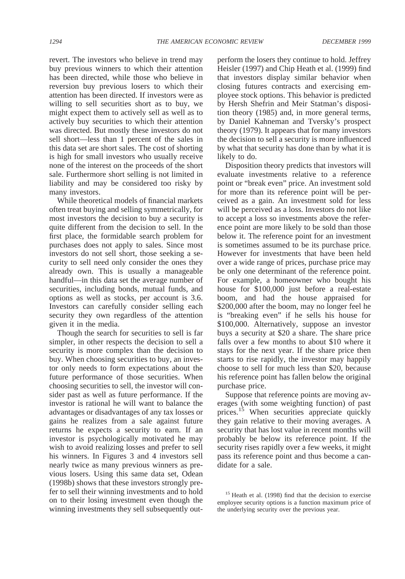revert. The investors who believe in trend may buy previous winners to which their attention has been directed, while those who believe in reversion buy previous losers to which their attention has been directed. If investors were as willing to sell securities short as to buy, we might expect them to actively sell as well as to actively buy securities to which their attention was directed. But mostly these investors do not sell short—less than 1 percent of the sales in this data set are short sales. The cost of shorting is high for small investors who usually receive none of the interest on the proceeds of the short sale. Furthermore short selling is not limited in liability and may be considered too risky by many investors.

While theoretical models of financial markets often treat buying and selling symmetrically, for most investors the decision to buy a security is quite different from the decision to sell. In the first place, the formidable search problem for purchases does not apply to sales. Since most investors do not sell short, those seeking a security to sell need only consider the ones they already own. This is usually a manageable handful—in this data set the average number of securities, including bonds, mutual funds, and options as well as stocks, per account is 3.6. Investors can carefully consider selling each security they own regardless of the attention given it in the media.

Though the search for securities to sell is far simpler, in other respects the decision to sell a security is more complex than the decision to buy. When choosing securities to buy, an investor only needs to form expectations about the future performance of those securities. When choosing securities to sell, the investor will consider past as well as future performance. If the investor is rational he will want to balance the advantages or disadvantages of any tax losses or gains he realizes from a sale against future returns he expects a security to earn. If an investor is psychologically motivated he may wish to avoid realizing losses and prefer to sell his winners. In Figures 3 and 4 investors sell nearly twice as many previous winners as previous losers. Using this same data set, Odean (1998b) shows that these investors strongly prefer to sell their winning investments and to hold on to their losing investment even though the winning investments they sell subsequently outperform the losers they continue to hold. Jeffrey Heisler (1997) and Chip Heath et al. (1999) find that investors display similar behavior when closing futures contracts and exercising employee stock options. This behavior is predicted by Hersh Shefrin and Meir Statman's disposition theory (1985) and, in more general terms, by Daniel Kahneman and Tversky's prospect theory (1979). It appears that for many investors the decision to sell a security is more influenced by what that security has done than by what it is likely to do.

Disposition theory predicts that investors will evaluate investments relative to a reference point or "break even" price. An investment sold for more than its reference point will be perceived as a gain. An investment sold for less will be perceived as a loss. Investors do not like to accept a loss so investments above the reference point are more likely to be sold than those below it. The reference point for an investment is sometimes assumed to be its purchase price. However for investments that have been held over a wide range of prices, purchase price may be only one determinant of the reference point. For example, a homeowner who bought his house for \$100,000 just before a real-estate boom, and had the house appraised for \$200,000 after the boom, may no longer feel he is "breaking even" if he sells his house for \$100,000. Alternatively, suppose an investor buys a security at \$20 a share. The share price falls over a few months to about \$10 where it stays for the next year. If the share price then starts to rise rapidly, the investor may happily choose to sell for much less than \$20, because his reference point has fallen below the original purchase price.

Suppose that reference points are moving averages (with some weighting function) of past prices.<sup>15</sup> When securities appreciate quickly they gain relative to their moving averages. A security that has lost value in recent months will probably be below its reference point. If the security rises rapidly over a few weeks, it might pass its reference point and thus become a candidate for a sale.

<sup>&</sup>lt;sup>15</sup> Heath et al. (1998) find that the decision to exercise employee security options is a function maximum price of the underlying security over the previous year.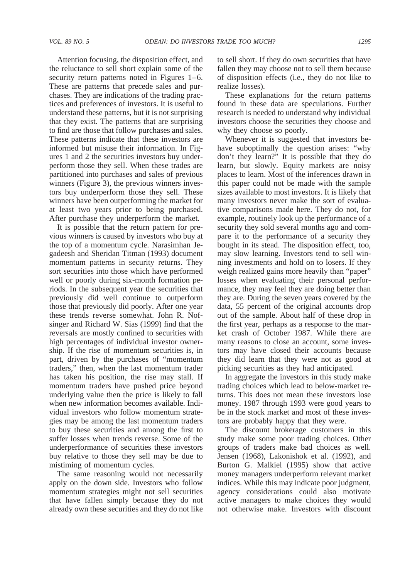Attention focusing, the disposition effect, and the reluctance to sell short explain some of the security return patterns noted in Figures 1–6. These are patterns that precede sales and purchases. They are indications of the trading practices and preferences of investors. It is useful to understand these patterns, but it is not surprising that they exist. The patterns that are surprising to find are those that follow purchases and sales. These patterns indicate that these investors are informed but misuse their information. In Figures 1 and 2 the securities investors buy underperform those they sell. When these trades are partitioned into purchases and sales of previous winners (Figure 3), the previous winners investors buy underperform those they sell. These winners have been outperforming the market for at least two years prior to being purchased. After purchase they underperform the market.

It is possible that the return pattern for previous winners is caused by investors who buy at the top of a momentum cycle. Narasimhan Jegadeesh and Sheridan Titman (1993) document momentum patterns in security returns. They sort securities into those which have performed well or poorly during six-month formation periods. In the subsequent year the securities that previously did well continue to outperform those that previously did poorly. After one year these trends reverse somewhat. John R. Nofsinger and Richard W. Sias (1999) find that the reversals are mostly confined to securities with high percentages of individual investor ownership. If the rise of momentum securities is, in part, driven by the purchases of "momentum traders," then, when the last momentum trader has taken his position, the rise may stall. If momentum traders have pushed price beyond underlying value then the price is likely to fall when new information becomes available. Individual investors who follow momentum strategies may be among the last momentum traders to buy these securities and among the first to suffer losses when trends reverse. Some of the underperformance of securities these investors buy relative to those they sell may be due to mistiming of momentum cycles.

The same reasoning would not necessarily apply on the down side. Investors who follow momentum strategies might not sell securities that have fallen simply because they do not already own these securities and they do not like

to sell short. If they do own securities that have fallen they may choose not to sell them because of disposition effects (i.e., they do not like to realize losses).

These explanations for the return patterns found in these data are speculations. Further research is needed to understand why individual investors choose the securities they choose and why they choose so poorly.

Whenever it is suggested that investors behave suboptimally the question arises: "why don't they learn?" It is possible that they do learn, but slowly. Equity markets are noisy places to learn. Most of the inferences drawn in this paper could not be made with the sample sizes available to most investors. It is likely that many investors never make the sort of evaluative comparisons made here. They do not, for example, routinely look up the performance of a security they sold several months ago and compare it to the performance of a security they bought in its stead. The disposition effect, too, may slow learning. Investors tend to sell winning investments and hold on to losers. If they weigh realized gains more heavily than "paper" losses when evaluating their personal performance, they may feel they are doing better than they are. During the seven years covered by the data, 55 percent of the original accounts drop out of the sample. About half of these drop in the first year, perhaps as a response to the market crash of October 1987. While there are many reasons to close an account, some investors may have closed their accounts because they did learn that they were not as good at picking securities as they had anticipated.

In aggregate the investors in this study make trading choices which lead to below-market returns. This does not mean these investors lose money. 1987 through 1993 were good years to be in the stock market and most of these investors are probably happy that they were.

The discount brokerage customers in this study make some poor trading choices. Other groups of traders make bad choices as well. Jensen (1968), Lakonishok et al. (1992), and Burton G. Malkiel (1995) show that active money managers underperform relevant market indices. While this may indicate poor judgment, agency considerations could also motivate active managers to make choices they would not otherwise make. Investors with discount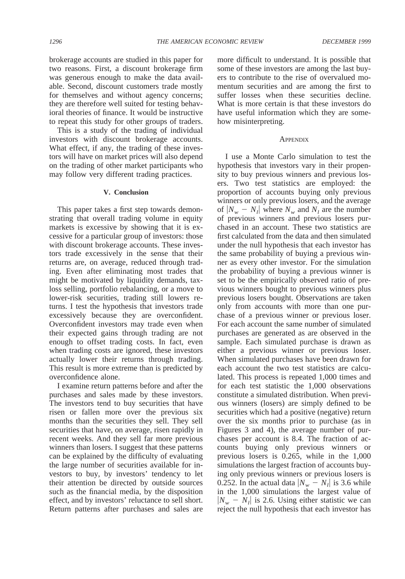brokerage accounts are studied in this paper for two reasons. First, a discount brokerage firm was generous enough to make the data available. Second, discount customers trade mostly for themselves and without agency concerns; they are therefore well suited for testing behavioral theories of finance. It would be instructive to repeat this study for other groups of traders.

This is a study of the trading of individual investors with discount brokerage accounts. What effect, if any, the trading of these investors will have on market prices will also depend on the trading of other market participants who may follow very different trading practices.

#### **V. Conclusion**

This paper takes a first step towards demonstrating that overall trading volume in equity markets is excessive by showing that it is excessive for a particular group of investors: those with discount brokerage accounts. These investors trade excessively in the sense that their returns are, on average, reduced through trading. Even after eliminating most trades that might be motivated by liquidity demands, taxloss selling, portfolio rebalancing, or a move to lower-risk securities, trading still lowers returns. I test the hypothesis that investors trade excessively because they are overconfident. Overconfident investors may trade even when their expected gains through trading are not enough to offset trading costs. In fact, even when trading costs are ignored, these investors actually lower their returns through trading. This result is more extreme than is predicted by overconfidence alone.

I examine return patterns before and after the purchases and sales made by these investors. The investors tend to buy securities that have risen or fallen more over the previous six months than the securities they sell. They sell securities that have, on average, risen rapidly in recent weeks. And they sell far more previous winners than losers. I suggest that these patterns can be explained by the difficulty of evaluating the large number of securities available for investors to buy, by investors' tendency to let their attention be directed by outside sources such as the financial media, by the disposition effect, and by investors' reluctance to sell short. Return patterns after purchases and sales are

more difficult to understand. It is possible that some of these investors are among the last buyers to contribute to the rise of overvalued momentum securities and are among the first to suffer losses when these securities decline. What is more certain is that these investors do have useful information which they are somehow misinterpreting.

#### **APPENDIX**

I use a Monte Carlo simulation to test the hypothesis that investors vary in their propensity to buy previous winners and previous losers. Two test statistics are employed: the proportion of accounts buying only previous winners or only previous losers, and the average of  $|N_w - N_l|$  where  $N_w$  and  $N_l$  are the number of previous winners and previous losers purchased in an account. These two statistics are first calculated from the data and then simulated under the null hypothesis that each investor has the same probability of buying a previous winner as every other investor. For the simulation the probability of buying a previous winner is set to be the empirically observed ratio of previous winners bought to previous winners plus previous losers bought. Observations are taken only from accounts with more than one purchase of a previous winner or previous loser. For each account the same number of simulated purchases are generated as are observed in the sample. Each simulated purchase is drawn as either a previous winner or previous loser. When simulated purchases have been drawn for each account the two test statistics are calculated. This process is repeated 1,000 times and for each test statistic the 1,000 observations constitute a simulated distribution. When previous winners (losers) are simply defined to be securities which had a positive (negative) return over the six months prior to purchase (as in Figures 3 and 4), the average number of purchases per account is 8.4. The fraction of accounts buying only previous winners or previous losers is 0.265, while in the 1,000 simulations the largest fraction of accounts buying only previous winners or previous losers is 0.252. In the actual data  $|N_w - N_l|$  is 3.6 while in the 1,000 simulations the largest value of  $|N_w - N_l|$  is 2.6. Using either statistic we can reject the null hypothesis that each investor has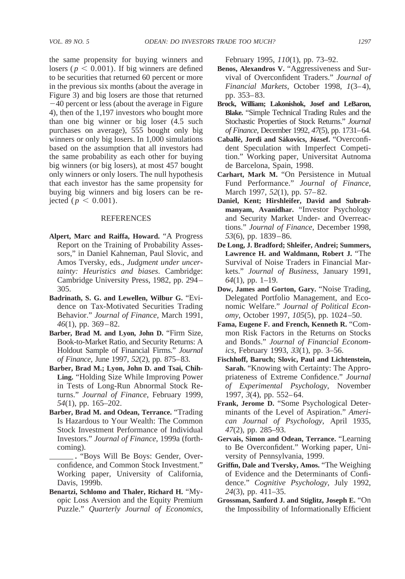the same propensity for buying winners and losers ( $p < 0.001$ ). If big winners are defined to be securities that returned 60 percent or more in the previous six months (about the average in Figure 3) and big losers are those that returned  $-40$  percent or less (about the average in Figure 4), then of the 1,197 investors who bought more than one big winner or big loser (4.5 such purchases on average), 555 bought only big winners or only big losers. In 1,000 simulations based on the assumption that all investors had the same probability as each other for buying big winners (or big losers), at most 457 bought only winners or only losers. The null hypothesis that each investor has the same propensity for buying big winners and big losers can be rejected ( $p < 0.001$ ).

# **REFERENCES**

- **Alpert, Marc and Raiffa, Howard.** "A Progress Report on the Training of Probability Assessors," in Daniel Kahneman, Paul Slovic, and Amos Tversky, eds., *Judgment under uncertainty: Heuristics and biases*. Cambridge: Cambridge University Press, 1982, pp. 294– 305.
- **Badrinath, S. G. and Lewellen, Wilbur G.** "Evidence on Tax-Motivated Securities Trading Behavior." *Journal of Finance*, March 1991, *46*(1), pp. 369–82.
- **Barber, Brad M. and Lyon, John D.** "Firm Size, Book-to-Market Ratio, and Security Returns: A Holdout Sample of Financial Firms." *Journal of Finance*, June 1997, *52*(2), pp. 875–83.
- **Barber, Brad M.; Lyon, John D. and Tsai, Chih-Ling.** "Holding Size While Improving Power in Tests of Long-Run Abnormal Stock Returns." *Journal of Finance*, February 1999, *54*(1), pp. 165–202.
- **Barber, Brad M. and Odean, Terrance.** "Trading Is Hazardous to Your Wealth: The Common Stock Investment Performance of Individual Investors." *Journal of Finance*, 1999a (forthcoming).
- **.** "Boys Will Be Boys: Gender, Overconfidence, and Common Stock Investment." Working paper, University of California, Davis, 1999b.
- **Benartzi, Schlomo and Thaler, Richard H.** "Myopic Loss Aversion and the Equity Premium Puzzle." *Quarterly Journal of Economics*,

February 1995, *110*(1), pp. 73–92.

- **Benos, Alexandros V.** "Aggressiveness and Survival of Overconfident Traders." *Journal of Financial Markets*, October 1998, *1*(3–4), pp. 353–83.
- **Brock, William; Lakonishok, Josef and LeBaron, Blake.** "Simple Technical Trading Rules and the Stochastic Properties of Stock Returns." *Journal of Finance*, December 1992, *47*(5), pp. 1731–64.
- Caballé, Jordi and Sákovics, József. "Overconfident Speculation with Imperfect Competition." Working paper, Universitat Autnoma de Barcelona, Spain, 1998.
- **Carhart, Mark M.** "On Persistence in Mutual Fund Performance." *Journal of Finance*, March 1997, *52*(1), pp. 57–82.
- **Daniel, Kent; Hirshleifer, David and Subrahmanyam, Avanidhar.** "Investor Psychology and Security Market Under- and Overreactions." *Journal of Finance*, December 1998, *53*(6), pp. 1839–86.
- **De Long, J. Bradford; Shleifer, Andrei; Summers, Lawrence H. and Waldmann, Robert J.** "The Survival of Noise Traders in Financial Markets." *Journal of Business*, January 1991, *64*(1), pp. 1–19.
- **Dow, James and Gorton, Gary.** "Noise Trading, Delegated Portfolio Management, and Economic Welfare." *Journal of Political Economy*, October 1997, *105*(5), pp. 1024–50.
- **Fama, Eugene F. and French, Kenneth R.** "Common Risk Factors in the Returns on Stocks and Bonds." *Journal of Financial Economics*, February 1993, *33*(1), pp. 3–56.
- **Fischhoff, Baruch; Slovic, Paul and Lichtenstein, Sarah.** "Knowing with Certainty: The Appropriateness of Extreme Confidence." *Journal of Experimental Psychology*, November 1997, *3*(4), pp. 552–64.
- **Frank, Jerome D.** "Some Psychological Determinants of the Level of Aspiration." *American Journal of Psychology*, April 1935, *47*(2), pp. 285–93.
- **Gervais, Simon and Odean, Terrance.** "Learning to Be Overconfident." Working paper, University of Pennsylvania, 1999.
- **Griffin, Dale and Tversky, Amos.** "The Weighing of Evidence and the Determinants of Confidence." *Cognitive Psychology*, July 1992, *24*(3), pp. 411–35.
- **Grossman, Sanford J. and Stiglitz, Joseph E.** "On the Impossibility of Informationally Efficient